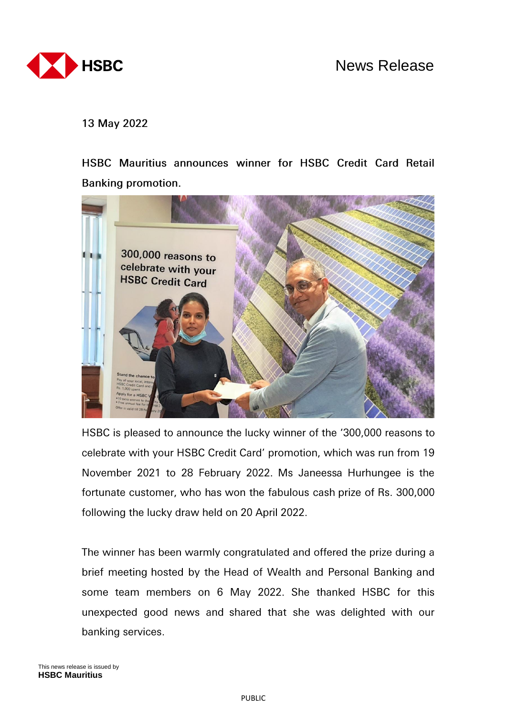

13 May 2022

HSBC Mauritius announces winner for HSBC Credit Card Retail **Banking promotion.** 



HSBC is pleased to announce the lucky winner of the '300,000 reasons to celebrate with your HSBC Credit Card' promotion, which was run from 19 November 2021 to 28 February 2022. Ms Janeessa Hurhungee is the fortunate customer, who has won the fabulous cash prize of Rs. 300,000 following the lucky draw held on 20 April 2022.

The winner has been warmly congratulated and offered the prize during a brief meeting hosted by the Head of Wealth and Personal Banking and some team members on 6 May 2022. She thanked HSBC for this unexpected good news and shared that she was delighted with our banking services.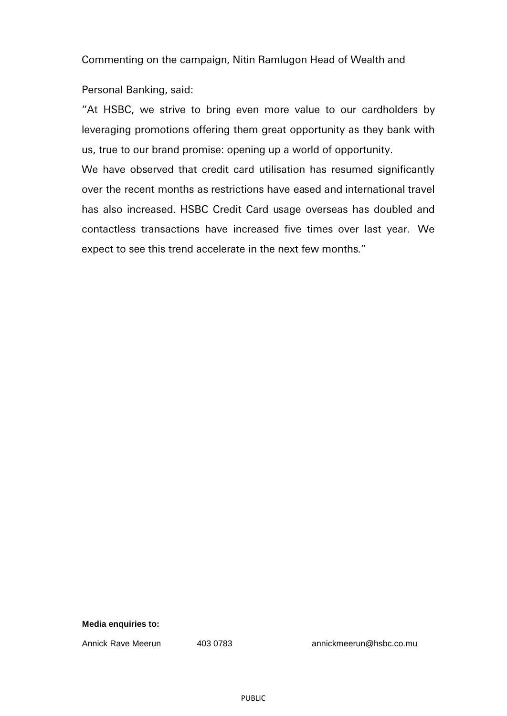Commenting on the campaign, Nitin Ramlugon Head of Wealth and

Personal Banking, said:

"At HSBC, we strive to bring even more value to our cardholders by leveraging promotions offering them great opportunity as they bank with us, true to our brand promise: opening up a world of opportunity.

We have observed that credit card utilisation has resumed significantly over the recent months as restrictions have eased and international travel has also increased. HSBC Credit Card usage overseas has doubled and contactless transactions have increased five times over last year. We expect to see this trend accelerate in the next few months."

# **Media enquiries to:**

Annick Rave Meerun 403 0783 annickmeerun@hsbc.co.mu